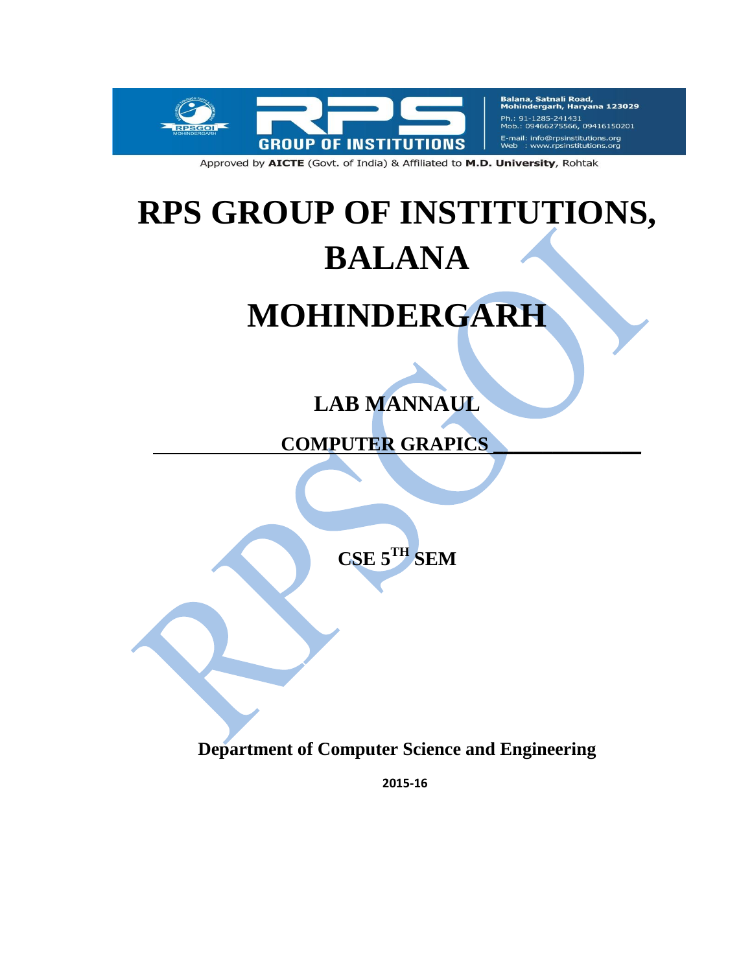

Balana, Satnali Road,<br>Mohindergarh, Haryana 123029 Ph.: 91-1285-241431 Mob.: 09466275566, 09416150201 E-mail: info@rpsinstitutions.org<br>Web : www.rpsinstitutions.org

Approved by AICTE (Govt. of India) & Affiliated to M.D. University, Rohtak

# **RPS GROUP OF INSTITUTIONS, BALANA**

# **MOHINDERGARH**

# **LAB MANNAUL**

 **COMPUTER GRAPICS \_\_\_\_\_\_\_\_\_\_\_\_\_\_\_**

**CSE 5TH SEM**

**Department of Computer Science and Engineering**

**2015-16**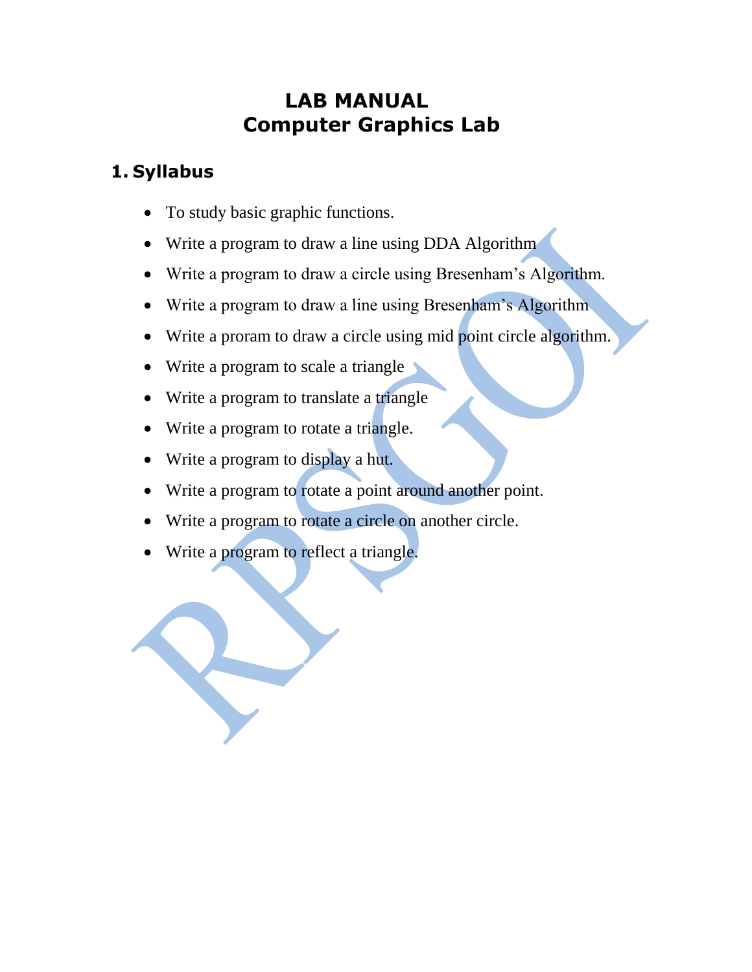# **LAB MANUAL Computer Graphics Lab**

#### **1. Syllabus**

- To study basic graphic functions.
- Write a program to draw a line using DDA Algorithm
- Write a program to draw a circle using Bresenham"s Algorithm.
- Write a program to draw a line using Bresenham's Algorithm
- Write a proram to draw a circle using mid point circle algorithm.
- Write a program to scale a triangle
- Write a program to translate a triangle
- Write a program to rotate a triangle.
- Write a program to display a hut.
- Write a program to rotate a point around another point.
- Write a program to rotate a circle on another circle.
- Write a program to reflect a triangle.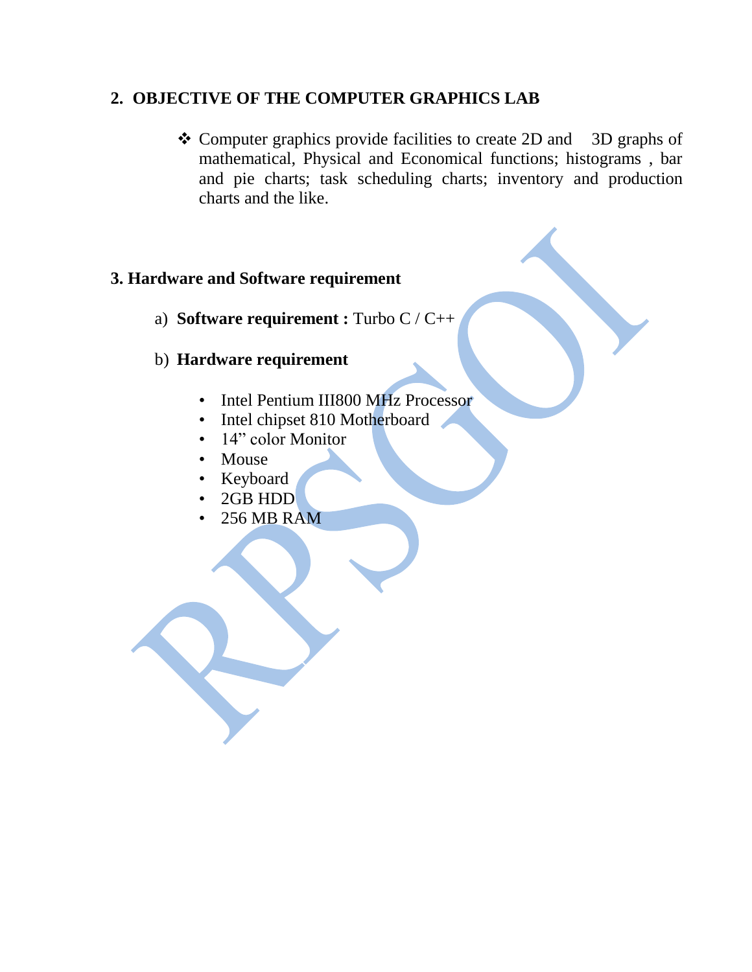#### **2. OBJECTIVE OF THE COMPUTER GRAPHICS LAB**

\* Computer graphics provide facilities to create 2D and 3D graphs of mathematical, Physical and Economical functions; histograms , bar and pie charts; task scheduling charts; inventory and production charts and the like.

#### **3. Hardware and Software requirement**

a) **Software requirement :** Turbo C / C++

#### b) **Hardware requirement**

- Intel Pentium III800 MHz Processor
- Intel chipset 810 Motherboard
- 14" color Monitor
- Mouse
- Keyboard
- 2GB HDD
- 256 MB RAM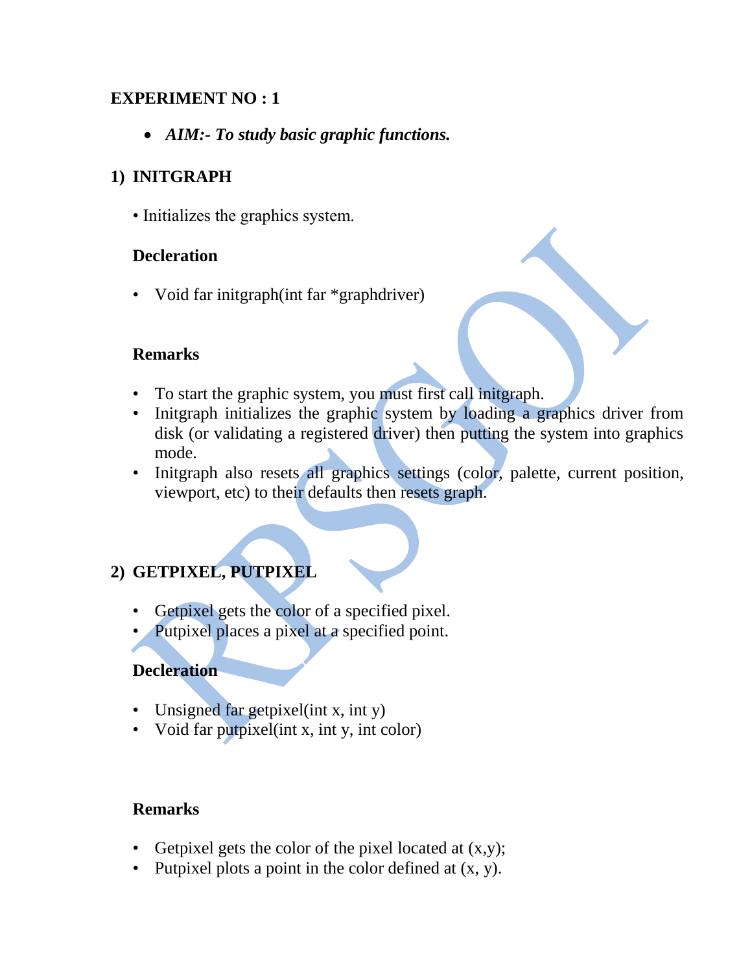#### **EXPERIMENT NO : 1**

*AIM:- To study basic graphic functions.*

#### **1) INITGRAPH**

• Initializes the graphics system.

#### **Decleration**

• Void far initgraph(int far \*graphdriver)

#### **Remarks**

- To start the graphic system, you must first call initgraph.
- Initeraph initializes the graphic system by loading a graphics driver from disk (or validating a registered driver) then putting the system into graphics mode.
- Initgraph also resets all graphics settings (color, palette, current position, viewport, etc) to their defaults then resets graph.

#### **2) GETPIXEL, PUTPIXEL**

- Getpixel gets the color of a specified pixel.
- Putpixel places a pixel at a specified point.

#### **Decleration**

- Unsigned far getpixel(int x, int y)
- Void far putpixel (int x, int y, int color)

#### **Remarks**

- Getpixel gets the color of the pixel located at  $(x,y)$ ;
- Putpixel plots a point in the color defined at  $(x, y)$ .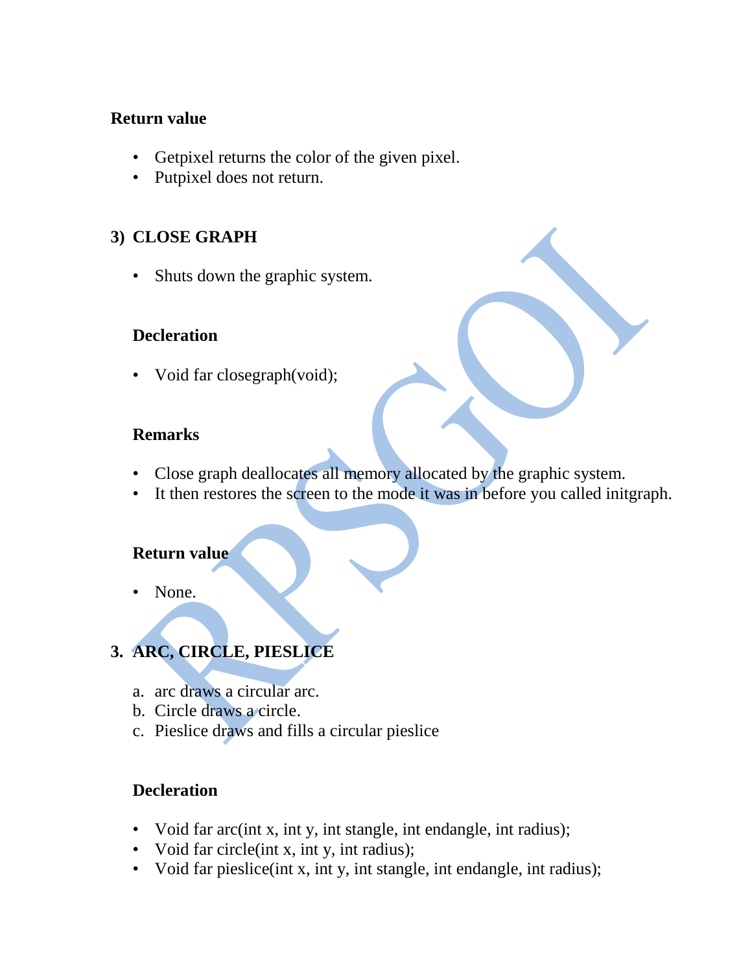#### **Return value**

- Getpixel returns the color of the given pixel.
- Putpixel does not return.

#### **3) CLOSE GRAPH**

• Shuts down the graphic system.

#### **Decleration**

• Void far closegraph(void);

#### **Remarks**

- Close graph deallocates all memory allocated by the graphic system.
- It then restores the screen to the mode it was in before you called initgraph.

#### **Return value**

• None.

### **3. ARC, CIRCLE, PIESLICE**

- a. arc draws a circular arc.
- b. Circle draws a circle.
- c. Pieslice draws and fills a circular pieslice

#### **Decleration**

- Void far arc(int x, int y, int stangle, int endangle, int radius);
- Void far circle(int x, int y, int radius);
- Void far pieslice(int x, int y, int stangle, int endangle, int radius);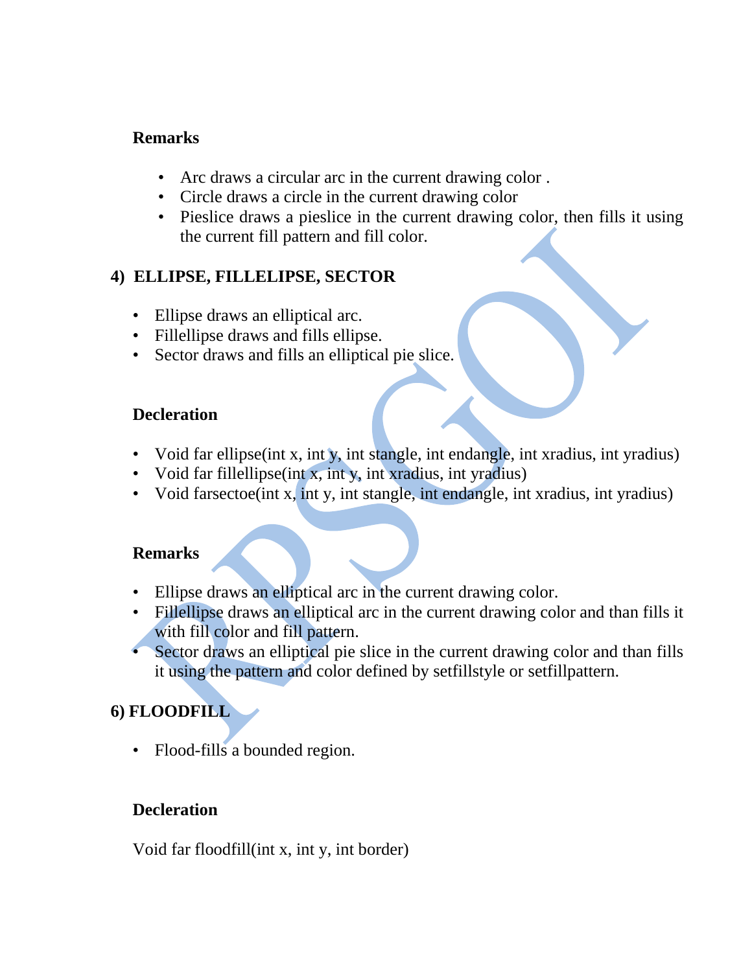#### **Remarks**

- Arc draws a circular arc in the current drawing color .
- Circle draws a circle in the current drawing color
- Pieslice draws a pieslice in the current drawing color, then fills it using the current fill pattern and fill color.

#### **4) ELLIPSE, FILLELIPSE, SECTOR**

- Ellipse draws an elliptical arc.
- Fillellipse draws and fills ellipse.
- Sector draws and fills an elliptical pie slice.

#### **Decleration**

- Void far ellipse(int x, int y, int stangle, int endangle, int xradius, int yradius)
- Void far fillellipse (int x, int y, int xradius, int yradius)
- Void farsectoe(int x, int y, int stangle, int endangle, int xradius, int yradius)

#### **Remarks**

- Ellipse draws an elliptical arc in the current drawing color.
- Fillellipse draws an elliptical arc in the current drawing color and than fills it with fill color and fill pattern.
- Sector draws an elliptical pie slice in the current drawing color and than fills it using the pattern and color defined by setfillstyle or setfillpattern.

#### **6) FLOODFILL**

• Flood-fills a bounded region.

#### **Decleration**

Void far floodfill(int x, int y, int border)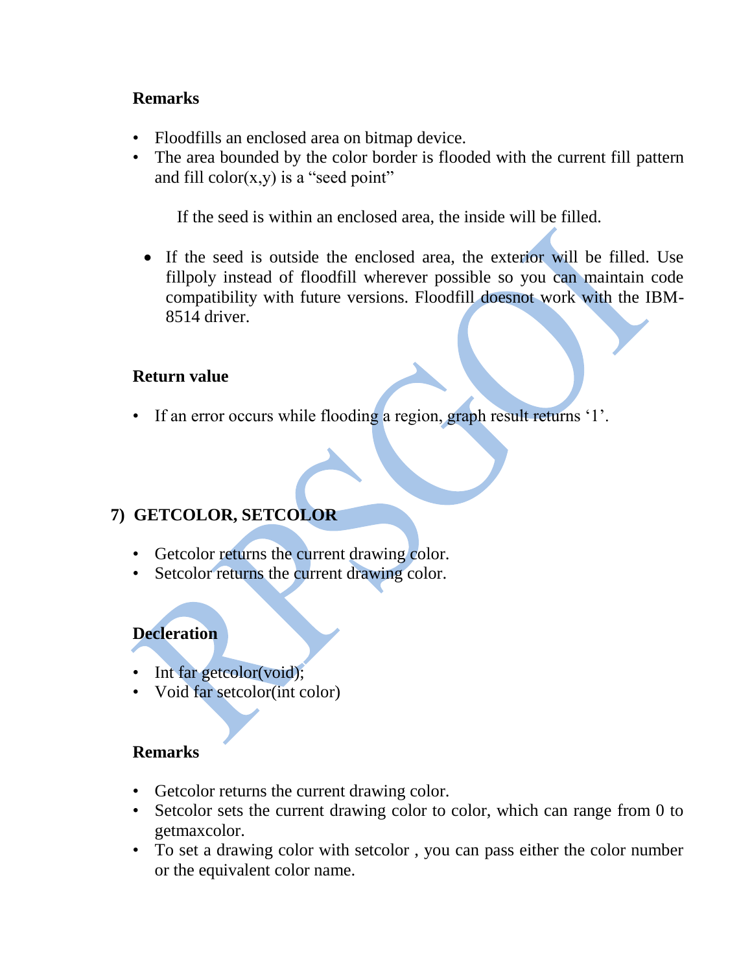#### **Remarks**

- Floodfills an enclosed area on bitmap device.
- The area bounded by the color border is flooded with the current fill pattern and fill color $(x,y)$  is a "seed point"

If the seed is within an enclosed area, the inside will be filled.

 If the seed is outside the enclosed area, the exterior will be filled. Use fillpoly instead of floodfill wherever possible so you can maintain code compatibility with future versions. Floodfill doesnot work with the IBM-8514 driver.

#### **Return value**

• If an error occurs while flooding a region, graph result returns "1".

#### **7) GETCOLOR, SETCOLOR**

- Getcolor returns the current drawing color.
- Setcolor returns the current drawing color.

#### **Decleration**

- Int far getcolor(void);
- Void far setcolor(int color)

#### **Remarks**

- Getcolor returns the current drawing color.
- Setcolor sets the current drawing color to color, which can range from 0 to getmaxcolor.
- To set a drawing color with setcolor , you can pass either the color number or the equivalent color name.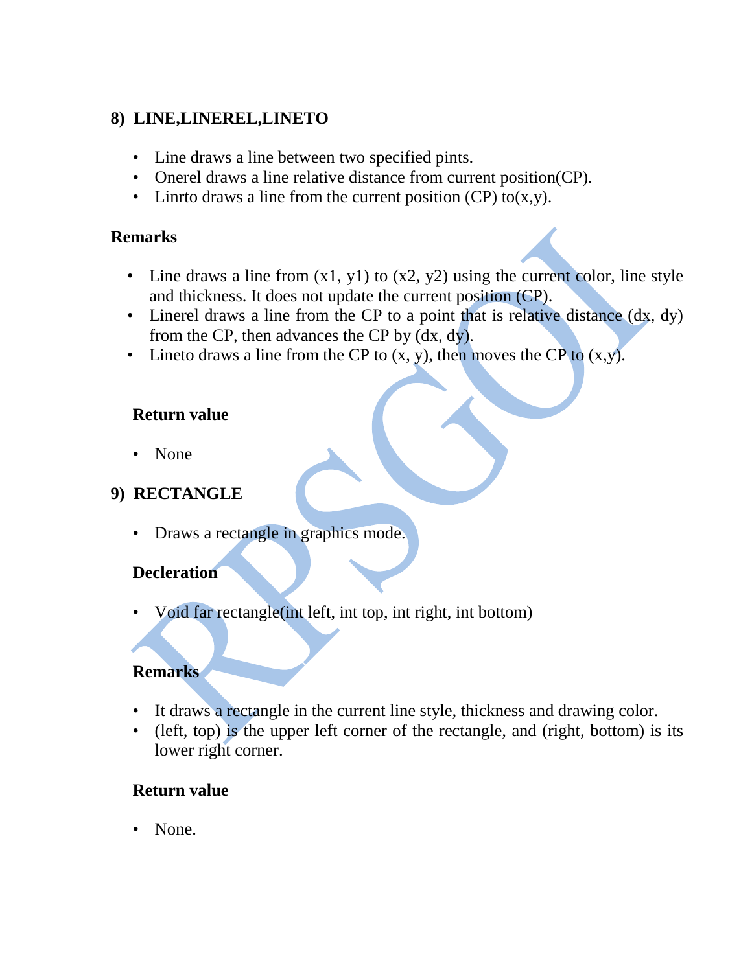#### **8) LINE,LINEREL,LINETO**

- Line draws a line between two specified pints.
- Onerel draws a line relative distance from current position(CP).
- Linrto draws a line from the current position  $(CP)$  to $(x,y)$ .

#### **Remarks**

- Line draws a line from  $(x1, y1)$  to  $(x2, y2)$  using the current color, line style and thickness. It does not update the current position (CP).
- Linerel draws a line from the CP to a point that is relative distance (dx, dy) from the CP, then advances the CP by (dx, dy).
- Lineto draws a line from the CP to  $(x, y)$ , then moves the CP to  $(x,y)$ .

#### **Return value**

• None

#### **9) RECTANGLE**

• Draws a rectangle in graphics mode.

#### **Decleration**

• Void far rectangle(int left, int top, int right, int bottom)

#### **Remarks**

- It draws a rectangle in the current line style, thickness and drawing color.
- (left, top) is the upper left corner of the rectangle, and (right, bottom) is its lower right corner.

#### **Return value**

• None.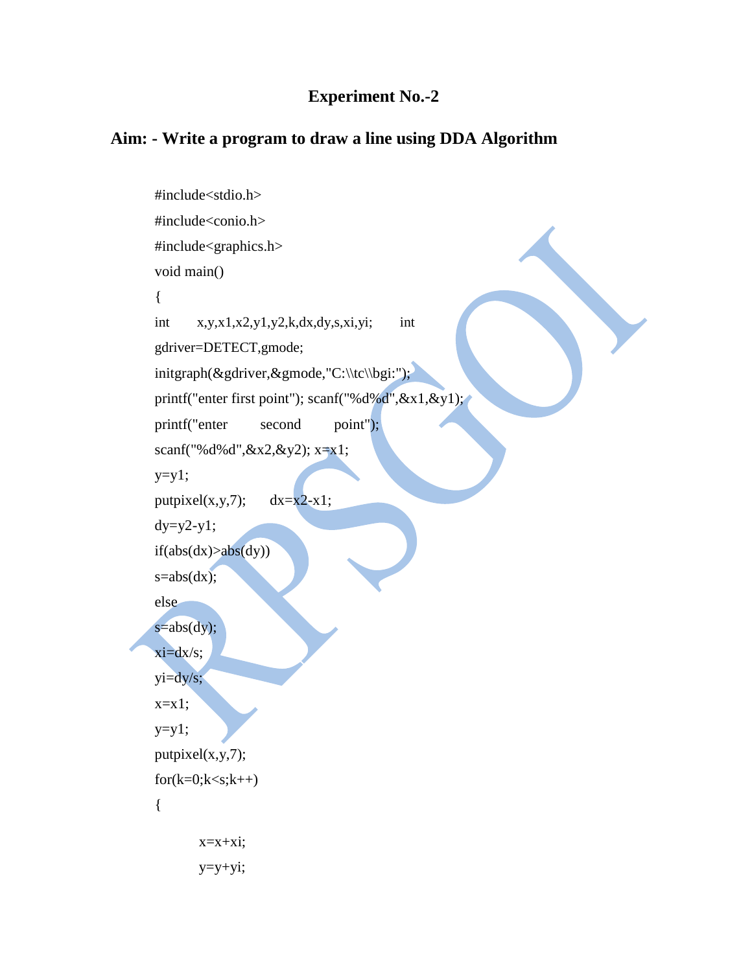#### **Experiment No.-2**

#### **Aim: - Write a program to draw a line using DDA Algorithm**

```
#include<stdio.h>
#include<conio.h>
#include<graphics.h> 
void main()
{
int x,y,x1,x2,y1,y2,k,dx,dy,s,xi,yi; int 
gdriver=DETECT,gmode;
initgraph(\&gdriver,\&gmode,"C:\\tc\\bgi:");
printf("enter first point"); scanf("%d%d",&x1,&y1);
printf("enter second point");
scanf("%d%d",&x2,&y2); x=x1;
y=y1;putpixel(x,y,7); dx=x2-x1;
dy=y2-y1;if(abs(dx)>abs(dy))s = abs(dx);else
s = abs(dy);xi=dx/s;
yi=dy/s;
x=x1;y=y1;putpixel(x,y,7);for(k=0; k < s; k++){
       x=x+xi;y=y+yi;
```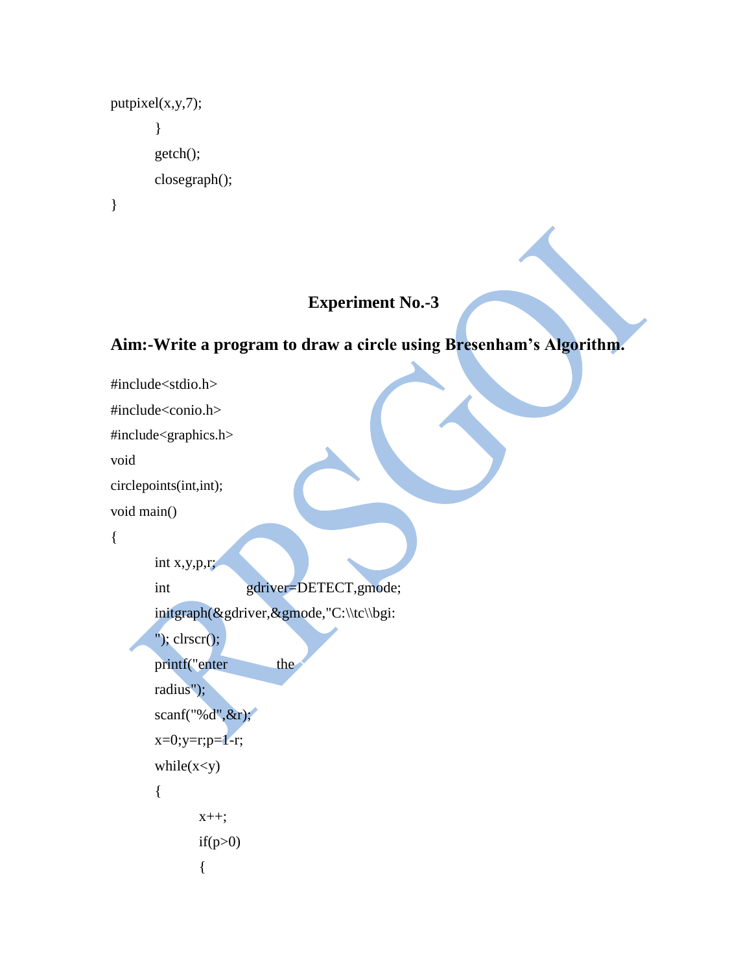```
putpixel(x,y,7);
        }
       getch();
       closegraph();
}
```
#### **Experiment No.-3**

#### **Aim:-Write a program to draw a circle using Bresenham's Algorithm.**

```
#include<stdio.h>
#include<conio.h>
#include<graphics.h> 
void 
circlepoints(int,int); 
void main()
{
       int x,y,p,r;
       int gdriver=DETECT,gmode; 
       initgraph(&gdriver,&gmode,"C:\\tc\\bgi:
       "); clrscr();
       printf("enter the
       radius"); 
       scanf("%d",&r); 
       x=0; y=r; p=1-r;while(x < y)
       {
              x_{++};
             if(p>0){
```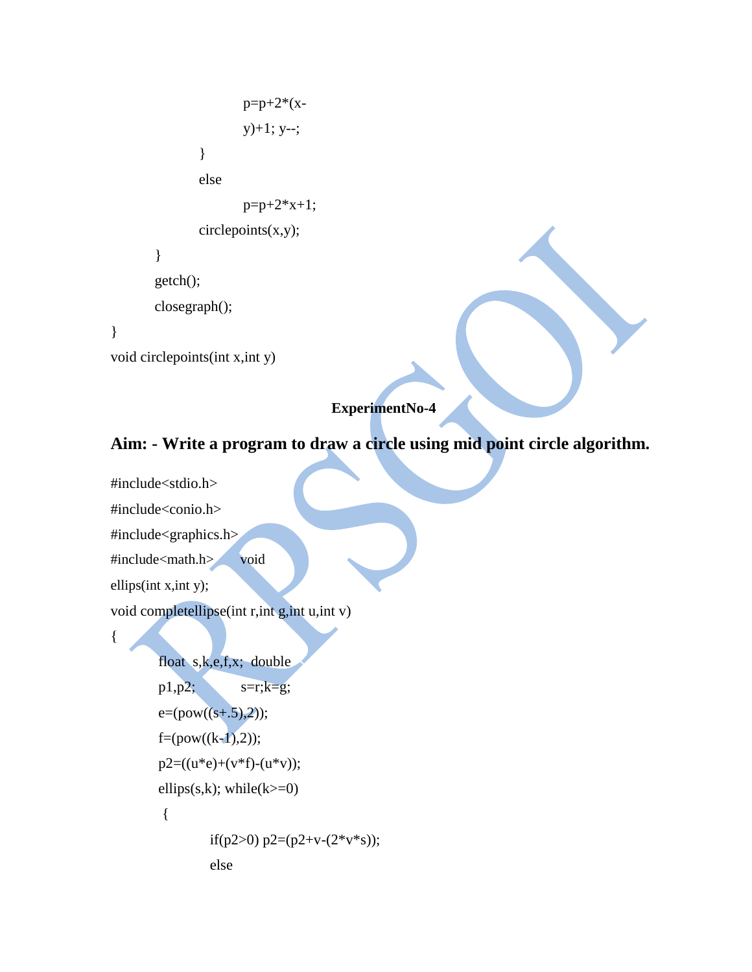```
p=p+2*(x-y)+1; y--;
               }
              else
                     p=p+2*x+1;circlepoints(x,y);}
       getch();
       closegraph();
}
void circlepoints(int x,int y)
```
#### **ExperimentNo-4**

# **Aim: - Write a program to draw a circle using mid point circle algorithm.**

#include<stdio.h>

#include<conio.h>

#include<graphics.h>

#include<math.h> void

ellips(int x,int y);

{

void completellipse(int r,int g,int u,int v)

```
float s,k,e,f,x; double 
p1,p2; s=r;k=g;
e=(pow((s+.5),2));f=(pow((k-1),2));p2=((u*e)+(v*f)-(u*v));ellips(s,k); while(k = 0)
{
        if(p2>0) p2=(p2+v-(2*v*s));
        else
```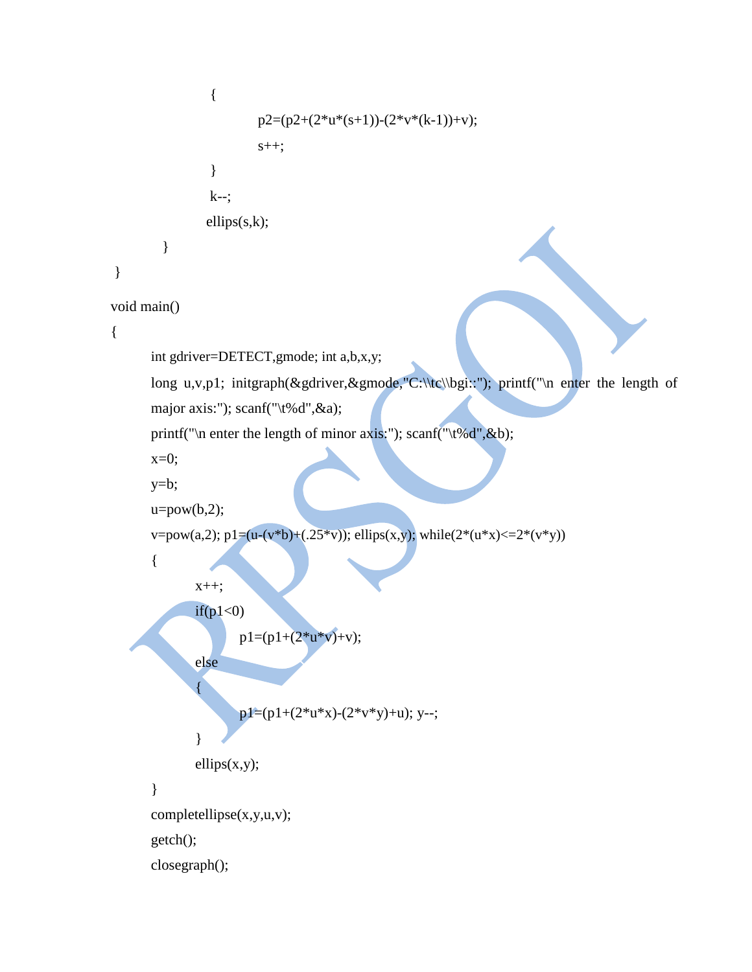```
{
                        p2=(p2+(2*u*(s+1))-(2*v*(k-1))+v);s++;
                }
                k--; 
                ellips(s,k);
        }
}
void main()
{
      int gdriver=DETECT,gmode; int a,b,x,y;
      long u,v,p1; initgraph(&gdriver,&gmode,"C:\\tc\\bgi::"); printf("\n enter the length of
      major axis:"); scanf("\t%d",&a);
      printf("\n enter the length of minor axis:"); scanf("\t%d",&b);
      x=0;
      y=b;
      u = pow(b,2);v=pow(a,2); p1=(u-(v*b)+(.25*v)); ellips(x,y); while(2*(u*x) <= 2*(v*y))
      {
              x++;
              if(p1<0)p1=(p1+(2*u*y)+v);else
              {
                     p1=(p1+(2*u*x)-(2*v*y)+u); y--;}
              ellips(x,y);
       }
      completellipse(x,y,u,v);
      getch();
      closegraph();
```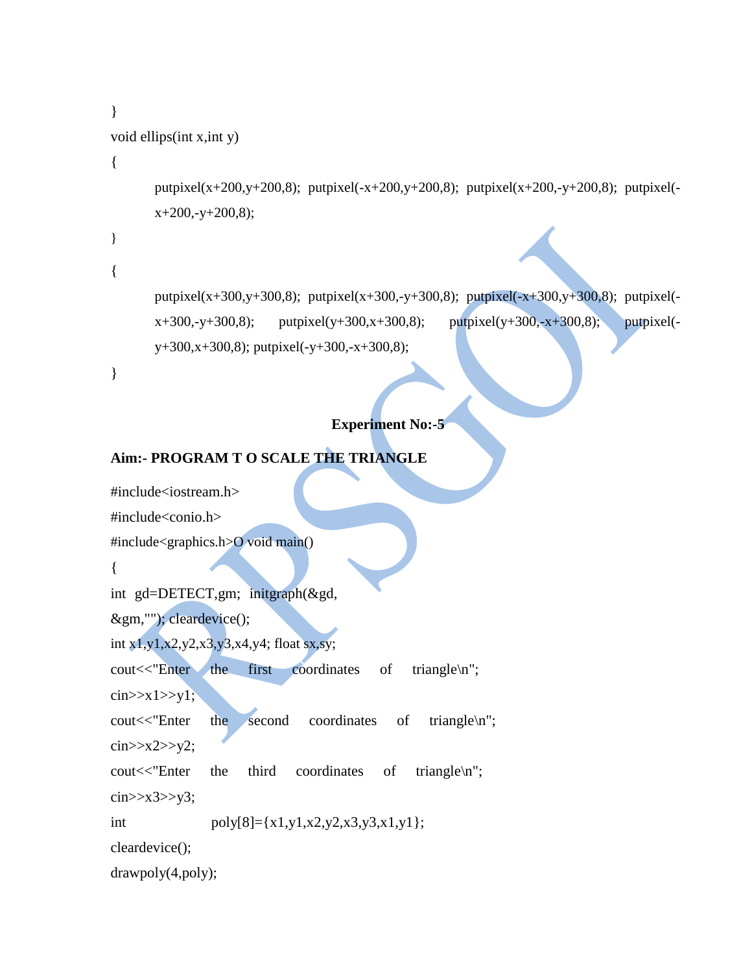```
}
void ellips(int x,int y)
{
       putpixel(x+200,y+200,8); putpixel(-x+200,y+200,8); putpixel(x+200,-y+200,8); putpixel(-
       x+200, -y+200, 8);}
{
       putpixel(x+300,y+300,8); putpixel(x+300,-y+300,8); putpixel(-x+300,y+300,8); putpixel(-
       x+300, -y+300,8); putpixel(y+300,x+300,8); putpixel(y+300,-x+300,8); putpixel(-
       y+300,x+300,8); putpixel(-y+300,-x+300,8);
}
```
#### **Experiment No:-5**

#### **Aim:- PROGRAM T O SCALE THE TRIANGLE**

```
#include<iostream.h>
#include<conio.h>
#include<graphics.h>O void main()
{
int gd=DETECT,gm; initgraph(&gd, 
&gm,""); cleardevice();
int x1,y1,x2,y2,x3,y3,x4,y4; float sx,sy;
cout<<"Enter the first coordinates of triangle\n";
\text{cin}>>x1>>y1;cout<<"Enter the second coordinates of triangle\n"; 
\text{cin}>>\text{x2}>>\text{y2};cout<<"Enter the third coordinates of triangle\n"; 
\text{cin}>>x3>>y3;
int poly[8]={x1,y1,x2,y2,x3,y3,x1,y1}; 
cleardevice();
drawpoly(4,poly);
```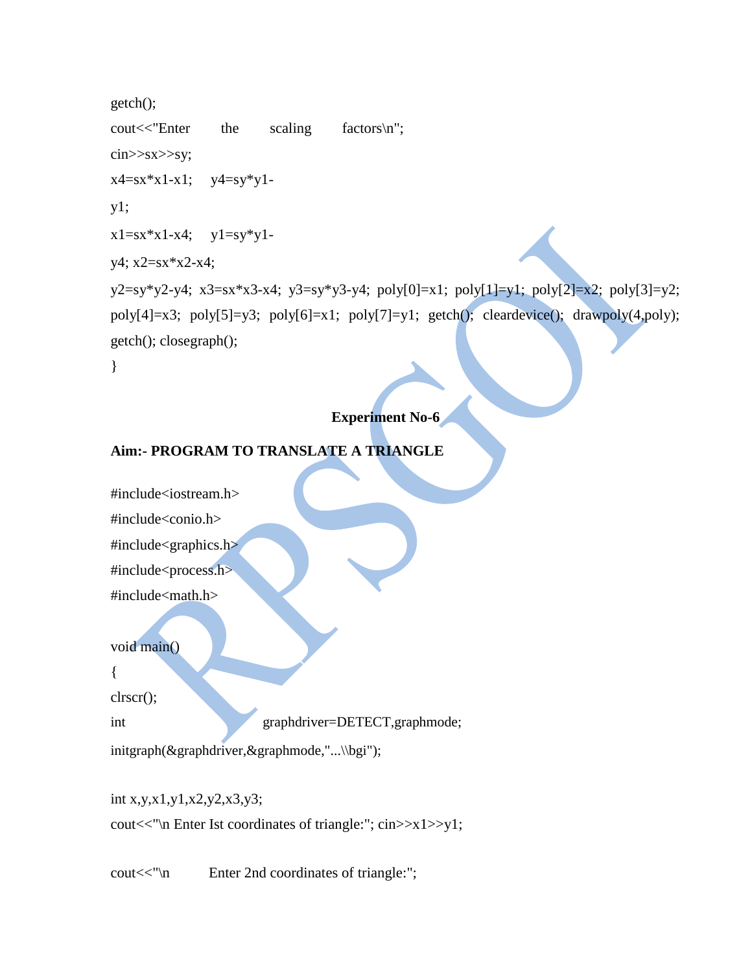```
getch();
\text{cout} \ll \text{'Enter} the scaling factors\n";
cin>>sx>>sy;
x4=sx*x1-x1; y4=sy*y1-y1;
x1=sx*x1-x4; y1=sy*y1-y4; x2=sx*x2-x4;
y2=sy*y2-y4; x3=sx*x3-x4; y3=sy*y3-y4; poly[0]=x1; poly[1]=y1; poly[2]=x2; poly[3]=y2;
poly[4]=x3; poly[5]=y3; poly[6]=x1; poly[7]=y1; getch(); cleardevice(); drawpoly(4,poly);
getch(); closegraph();
}
```
#### **Experiment No-6**

#### **Aim:- PROGRAM TO TRANSLATE A TRIANGLE**



int x,y,x1,y1,x2,y2,x3,y3; cout<<"\n Enter Ist coordinates of triangle:"; cin>>x1>>y1;

cout<<"\n Enter 2nd coordinates of triangle:";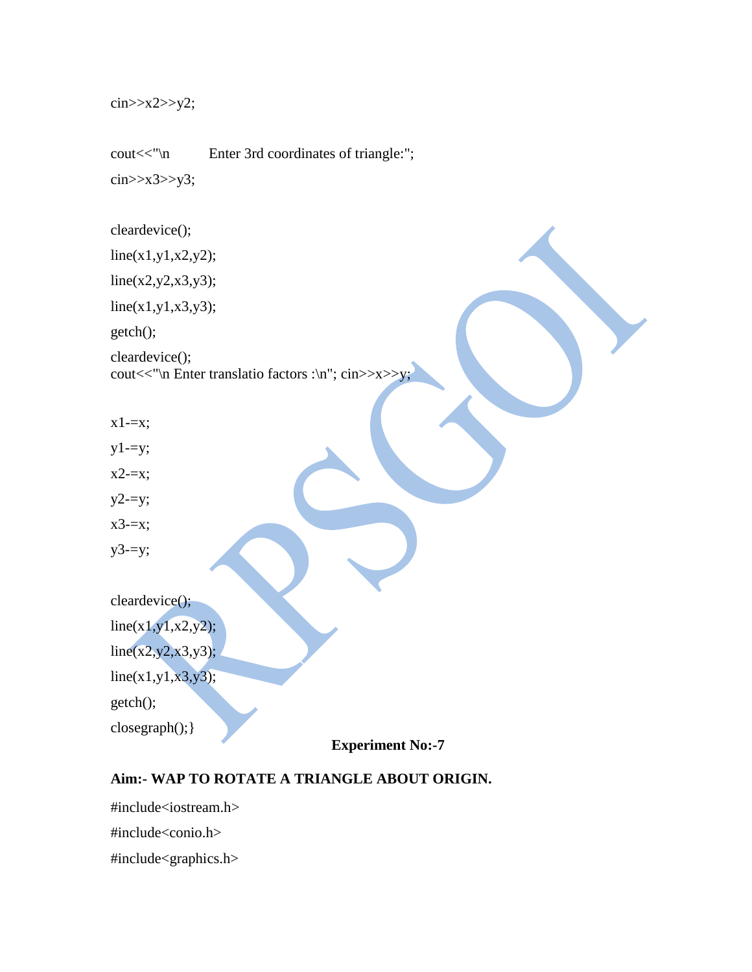cin>>x2>>y2;

cout << "\n Enter 3rd coordinates of triangle:"; cin>>x3>>y3;

cleardevice();

 $line(x1,y1,x2,y2);$ 

 $line(x2,y2,x3,y3);$ 

 $line(x1,y1,x3,y3);$ 

getch();

cleardevice(); cout<<"\n Enter translatio factors :\n"; cin>>x>>y;

- $x1 = x;$
- $y1=yz;$
- x2-=x;
- $y2=yz;$
- x3-=x;
- $y3=yz;$

cleardevice();  $line(x1,y1,x2,y2);$  $line(x2,y2,x3,y3);$ 

 $line(x1,y1,x3,y3);$ getch();

closegraph();}

**Experiment No:-7**

#### **Aim:- WAP TO ROTATE A TRIANGLE ABOUT ORIGIN.**

#include<iostream.h> #include<conio.h> #include<graphics.h>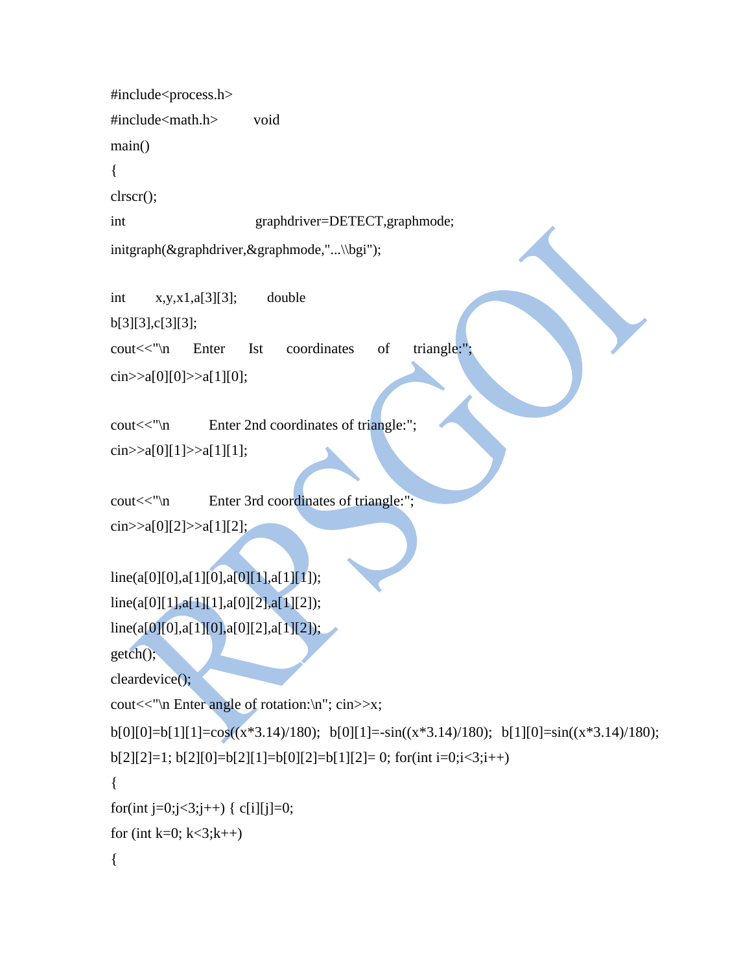#include<process.h> #include<math.h> void main() { clrscr(); int graphdriver=DETECT,graphmode; initgraph(&graphdriver,&graphmode,"...\\bgi");

int x,y,x1,a[3][3]; double b[3][3],c[3][3]; cout<<"\n Enter Ist coordinates of triangle:" cin>>a[0][0]>>a[1][0];

cout<<"\n Enter 2nd coordinates of triangle:"; cin $>>a[0][1]>>a[1][1];$ 

cout << "\n Enter 3rd coordinates of triangle:";  $\text{cin}>>a[0][2]>>a[1][2];$ 

```
line(a[0][0],a[1][0],a[0][1],a[1][1]);
line(a[0][1],a[1][1],a[0][2],a[1][2]);
line(a[0][0],a[1][0],a[0][2],a[1][2]);
getch();
cleardevice();
cout<<"\n Enter angle of rotation:\n"; cin>>x;
b[0][0]=b[1][1]=cos((x*3.14)/180); b[0][1]=-sin((x*3.14)/180); b[1][0]=sin((x*3.14)/180);
b[2][2]=1; b[2][0]=b[2][1]=b[0][2]=b[1][2]=0; for(int i=0; i<3; i++){
for(int j=0;j<3;j++) { c[i][j]=0;
for (int k=0; k<3; k++)
```

```
{
```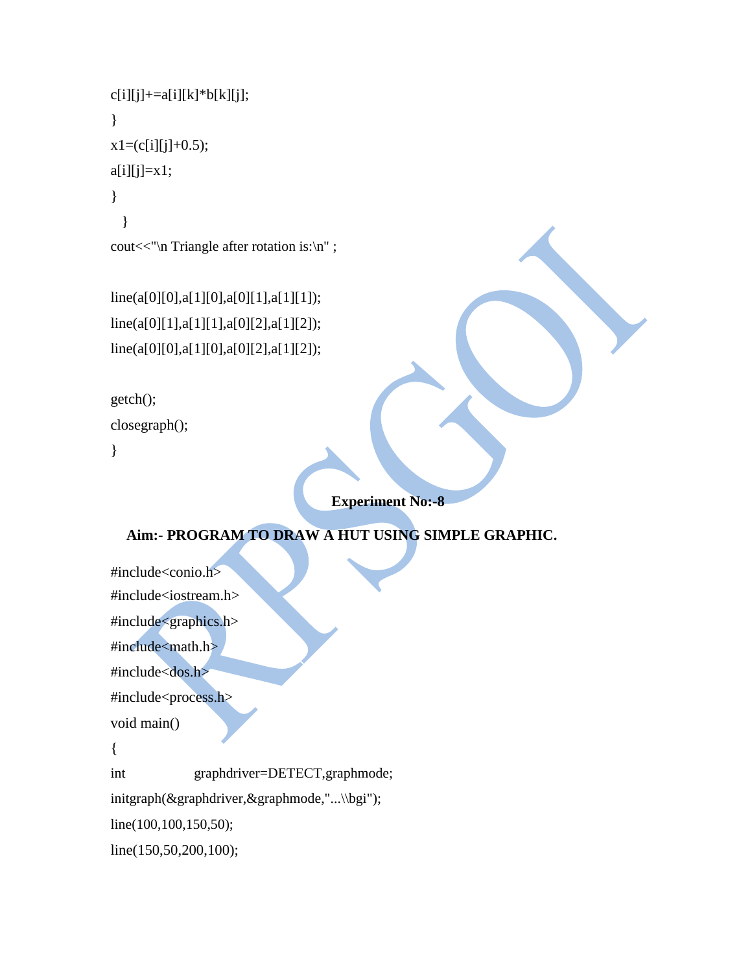```
c[i][j] + = a[i][k] * b[k][j];
}
x1=(c[i][j]+0.5);a[i][j]=x1;}
  }
cout<<"\n Triangle after rotation is:\n" ;
```
line(a[0][0],a[1][0],a[0][1],a[1][1]); line(a[0][1],a[1][1],a[0][2],a[1][2]); line(a[0][0],a[1][0],a[0][2],a[1][2]);

```
getch();
```
closegraph();

}

# **Experiment No:-8**

#### **Aim:- PROGRAM TO DRAW A HUT USING SIMPLE GRAPHIC.**

#include<conio.h> #include<iostream.h> #include<graphics.h> #include<math.h> #include<dos.h> #include<process.h> void main() { int graphdriver=DETECT,graphmode; initgraph(&graphdriver,&graphmode,"...\\bgi"); line(100,100,150,50); line(150,50,200,100);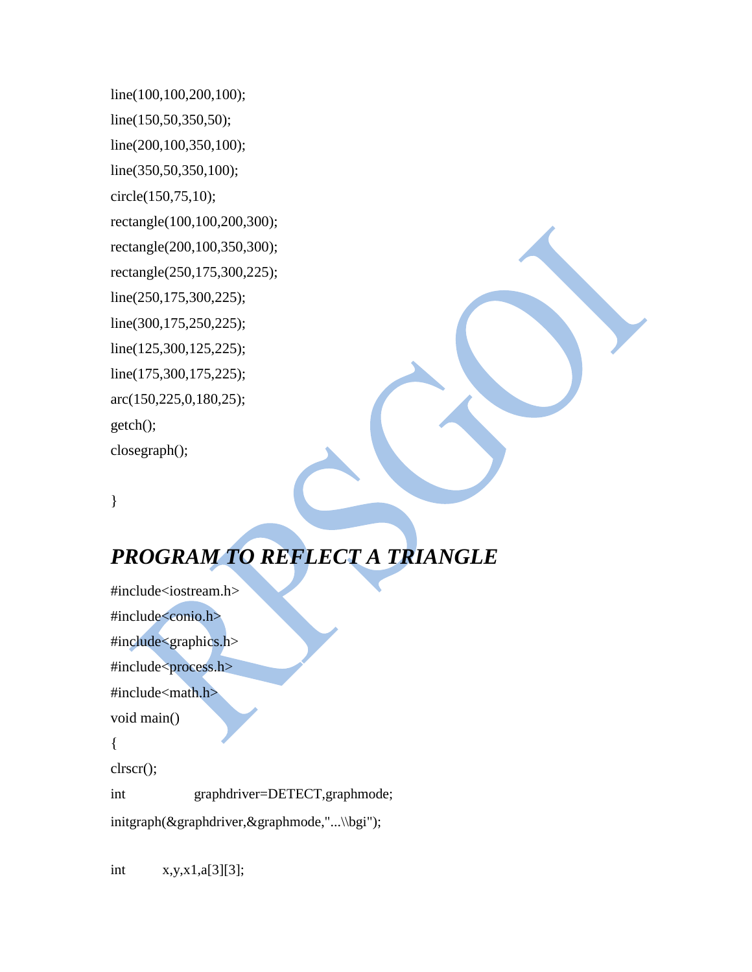line(100,100,200,100); line(150,50,350,50); line(200,100,350,100); line(350,50,350,100); circle(150,75,10); rectangle(100,100,200,300); rectangle(200,100,350,300); rectangle(250,175,300,225); line(250,175,300,225); line(300,175,250,225); line(125,300,125,225); line(175,300,175,225); arc(150,225,0,180,25); getch(); closegraph();

}

# *PROGRAM TO REFLECT A TRIANGLE*

#include<iostream.h> #include<conio.h> #include<graphics.h> #include<process.h> #include<math.h> void main() { clrscr(); int graphdriver=DETECT,graphmode; initgraph(&graphdriver,&graphmode,"...\\bgi");

int x,y,x1,a[3][3];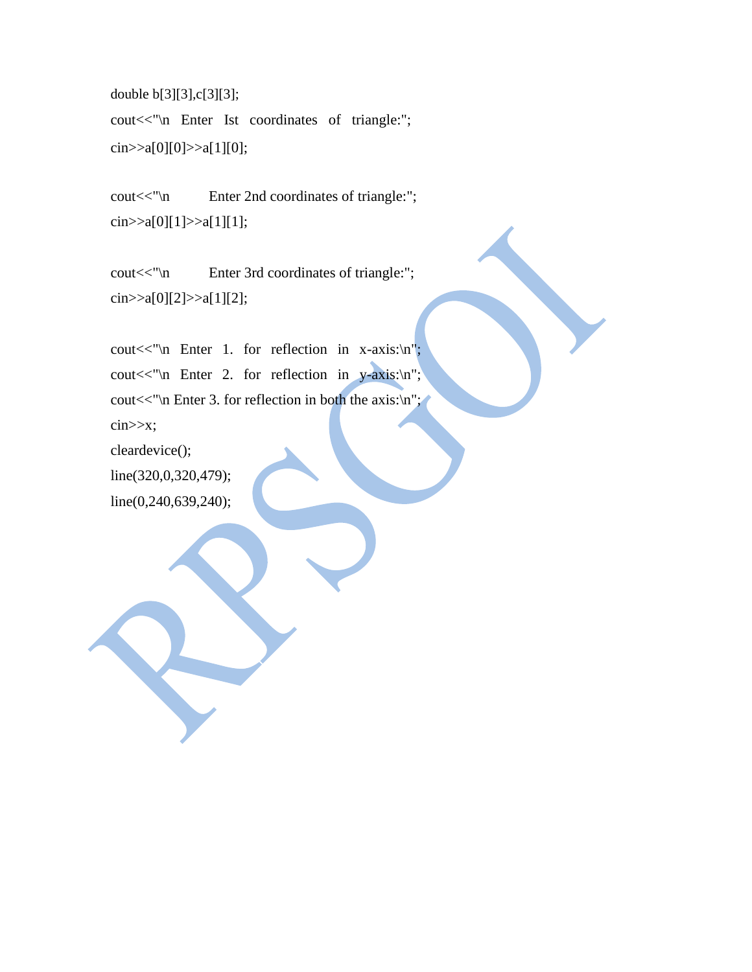double b[3][3],c[3][3]; cout<<"\n Enter Ist coordinates of triangle:"; cin>>a[0][0]>>a[1][0];

cout << "\n Enter 2nd coordinates of triangle:"; cin>>a[0][1]>>a[1][1];

cout << "\n Enter 3rd coordinates of triangle:"; cin>>a[0][2]>>a[1][2];

cout $<<$ "\n Enter 1. for reflection in x-axis:\n"; cout $<<$ "\n Enter 2. for reflection in y-axis:\n"; cout $<<$ "\n Enter 3. for reflection in both the axis:\n"; cin>>x; cleardevice();

line(320,0,320,479); line(0,240,639,240);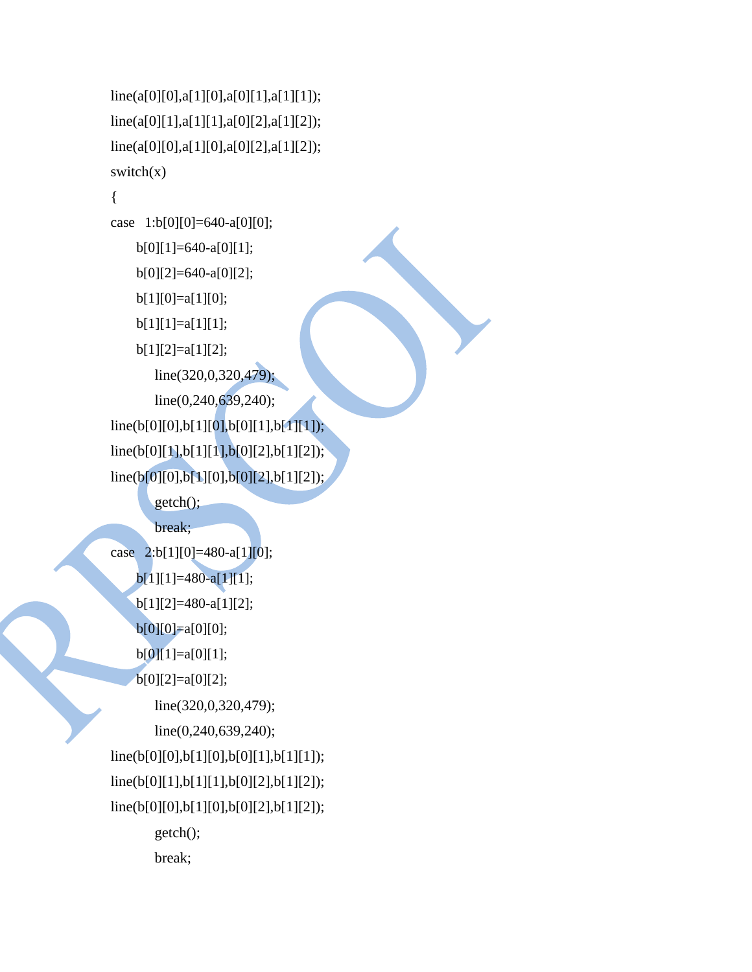```
line(a[0][0],a[1][0],a[0][1],a[1][1]);
line(a[0][1],a[1][1],a[0][2],a[1][2]);
line(a[0][0],a[1][0],a[0][2],a[1][2]);
switch(x){
case 1:b[0][0]=640-a[0][0]; 
    b[0][1]=640-a[0][1]; 
    b[0][2]=640-a[0][2]; 
    b[1][0]=a[1][0];
    b[1][1]=a[1][1];b[1][2]=a[1][2];
       line(320,0,320,479);
       line(0,240,639,240);
line(b[0][0],b[1][0],b[0][1],b[1][1]);
line(b[0][1],b[1][1],b[0][2],b[1][2]);
line(b[0][0],b[1][0],b[0][2],b[1][2]);
       getch();
       break;
case 2:b[1][0]=480-a[1][0]; 
    b[1][1]=480-a[1][1]; 
    b[1][2]=480-a[1][2]; 
    b[0][0]=a[0][0]; 
    b[0][1]=a[0][1]; 
    b[0][2]=a[0][2];
       line(320,0,320,479);
       line(0,240,639,240);
line(b[0][0],b[1][0],b[0][1],b[1][1]);
line(b[0][1],b[1][1],b[0][2],b[1][2]);
line(b[0][0],b[1][0],b[0][2],b[1][2]);
       getch();
       break;
```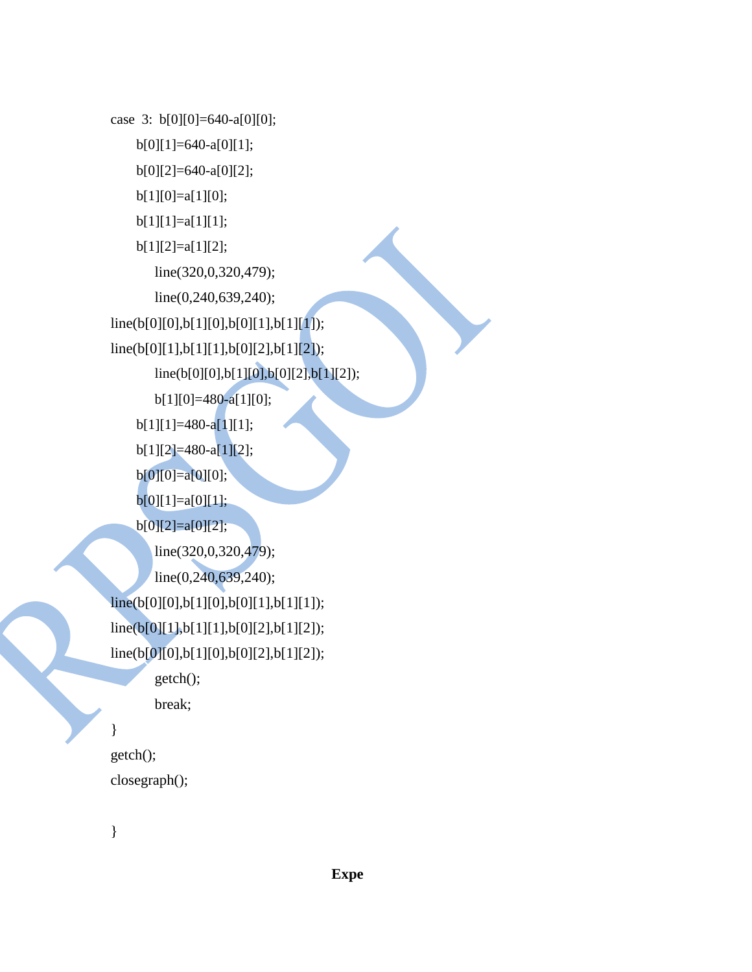```
case 3: b[0][0]=640-a[0][0]; 
    b[0][1]=640-a[0][1]; 
    b[0][2]=640-a[0][2]; 
    b[1][0]=a[1][0]; 
    b[1][1]=a[1][1]; 
    b[1][2]=a[1][2];
       line(320,0,320,479);
       line(0,240,639,240);
line(b[0][0],b[1][0],b[0][1],b[1][1]);
line(b[0][1],b[1][1],b[0][2],b[1][2]);
       line(b[0][0],b[1][0],b[0][2],b[1][2]); 
       b[1][0]=480-a[1][0];
    b[1][1]=480-a[1][1]; 
    b[1][2]=480-a[1][2]; 
    b[0][0]=a[0][0]; 
    b[0][1]=a[0][1]; 
    b[0][2]=a[0][2];
       line(320,0,320,479);
       line(0,240,639,240);
line(b[0][0],b[1][0],b[0][1],b[1][1]);
line(b[0][1],b[1][1],b[0][2],b[1][2]);
line(b[0][0],b[1][0],b[0][2],b[1][2]);
       getch();
       break;
}
getch();
closegraph();
```

```
}
```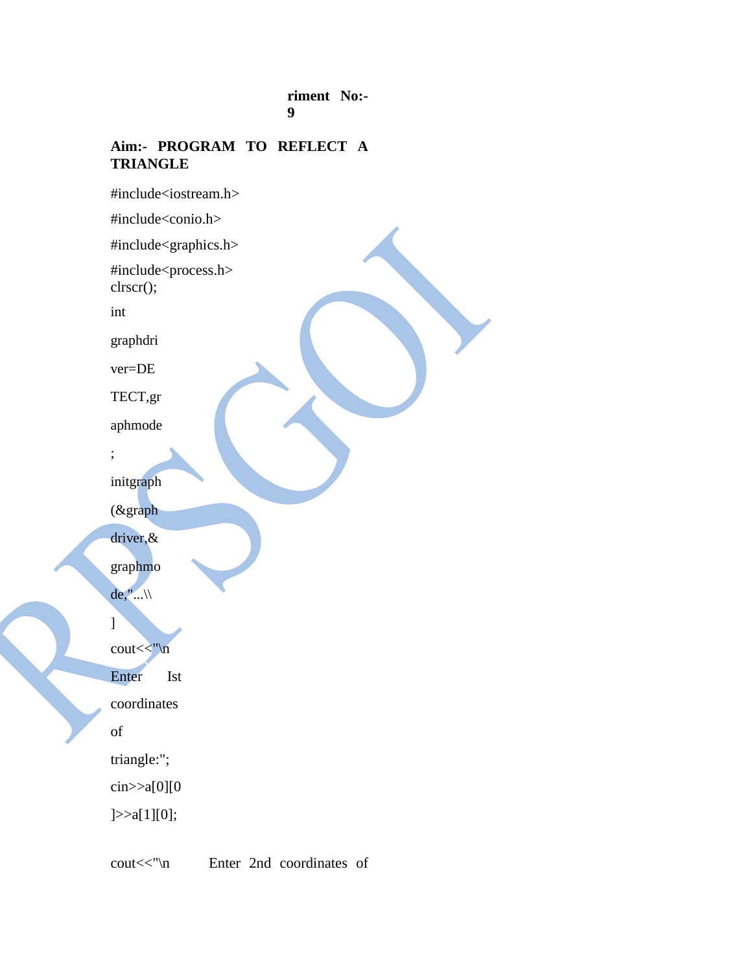#### **riment No:- 9**

#### **Aim:- PROGRAM TO REFLECT A TRIANGLE**

#include<iostream.h> #include<conio.h> #include<graphics.h> #include<process.h> clrscr(); int graphdri ver=DE TECT,gr aphmode ; initgraph (&graph driver,& graphmo de,"... $\setminus$ ] cout<<"\n Enter Ist coordinates of triangle:"; cin>>a[0][0 ]>>a[1][0];

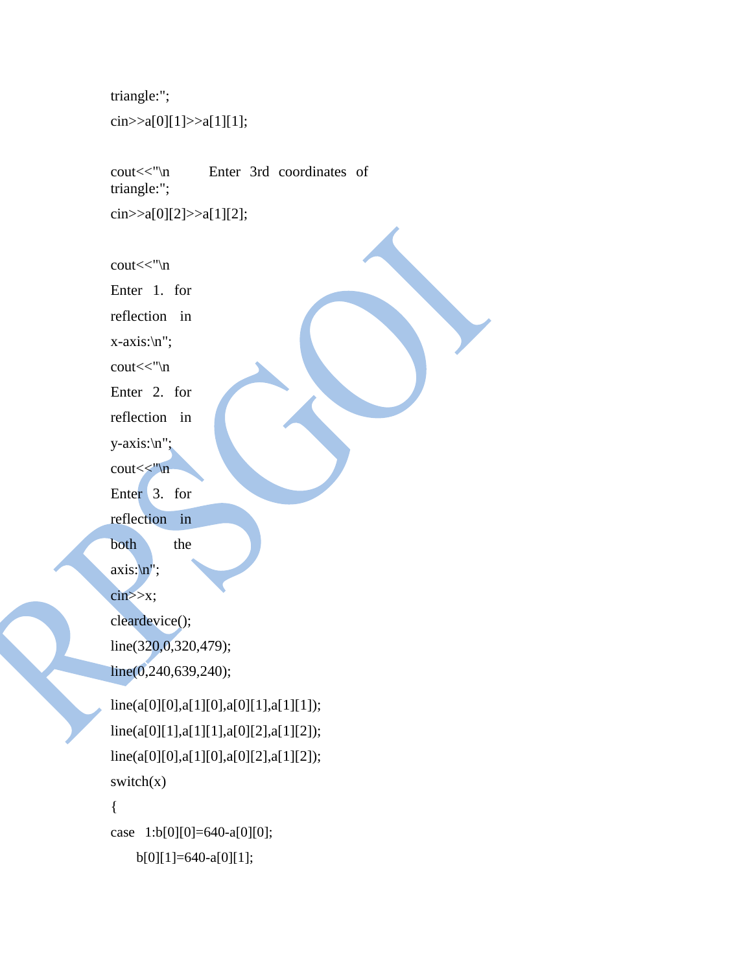```
triangle:";
```
cin>>a[0][1]>>a[1][1];

cout<<"\n Enter 3rd coordinates of triangle:";

cin>>a[0][2]>>a[1][2];

cout<<"\n

Enter 1. for

reflection in

x-axis:\n";

cout<<"\n

Enter 2. for

reflection in

y-axis:\n";

cout<<"\n

Enter 3. for

reflection in

both the

 $axis:\sqrt{n}$ ";

 $\text{cin}>>x;$ 

cleardevice();

```
line(320,0,320,479);
```
line(0,240,639,240);

```
line(a[0][0],a[1][0],a[0][1],a[1][1]);
line(a[0][1],a[1][1],a[0][2],a[1][2]);
line(a[0][0],a[1][0],a[0][2],a[1][2]);
switch(x){
case 1:b[0][0]=640-a[0][0];
```

```
b[0][1]=640-a[0][1];
```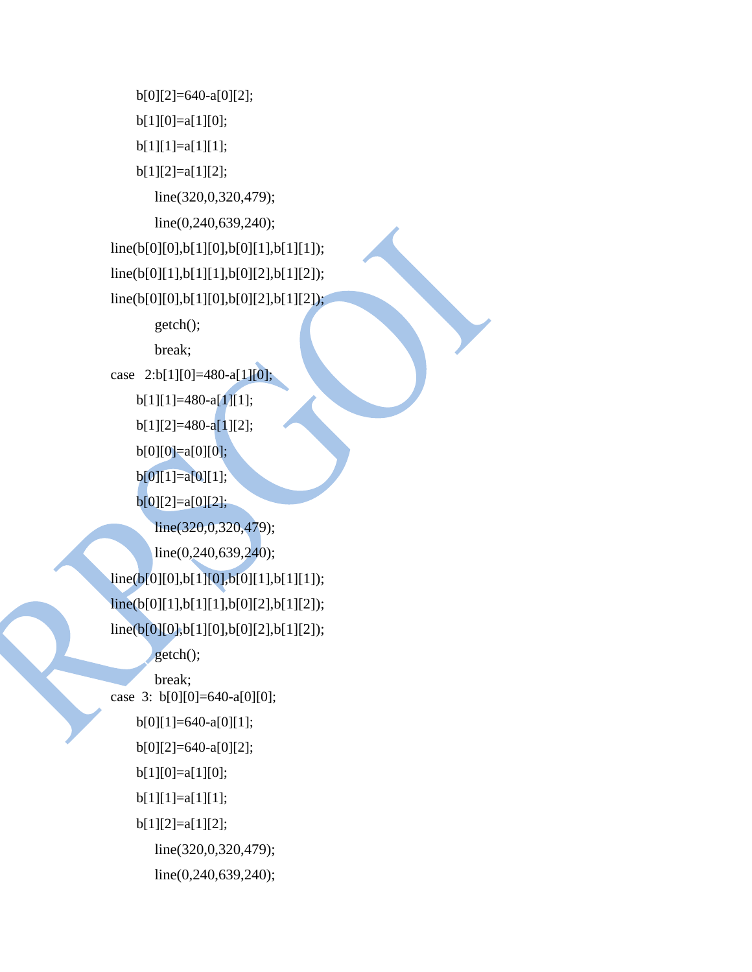```
b[0][2]=640-a[0][2]; 
    b[1][0]=a[1][0]; 
    b[1][1]=a[1][1]; 
    b[1][2]=a[1][2];
       line(320,0,320,479);
       line(0,240,639,240);
line(b[0][0],b[1][0],b[0][1],b[1][1]);
line(b[0][1],b[1][1],b[0][2],b[1][2]);
line(b[0][0],b[1][0],b[0][2],b[1][2]);
       getch();
       break;
case 2:b[1][0]=480-a[1][0]; 
    b[1][1]=480-a[1][1]; 
    b[1][2]=480-a[1][2];b[0][0]=a[0][0]; 
    b[0][1]=a[0][1]; 
    b[0][2]=a[0][2];
       line(320,0,320,479);
       line(0,240,639,240);
line(b[0][0],b[1][0],b[0][1],b[1][1]);
line(b[0][1],b[1][1],b[0][2],b[1][2]);
line(b[0][0],b[1][0],b[0][2],b[1][2]);
       getch();
       break;
case 3: b[0][0]=640-a[0][0]; 
    b[0][1]=640-a[0][1]; 
    b[0][2]=640-a[0][2]; 
    b[1][0]=a[1][0]; 
    b[1][1]=a[1][1]; 
    b[1][2]=a[1][2];
       line(320,0,320,479);
       line(0,240,639,240);
```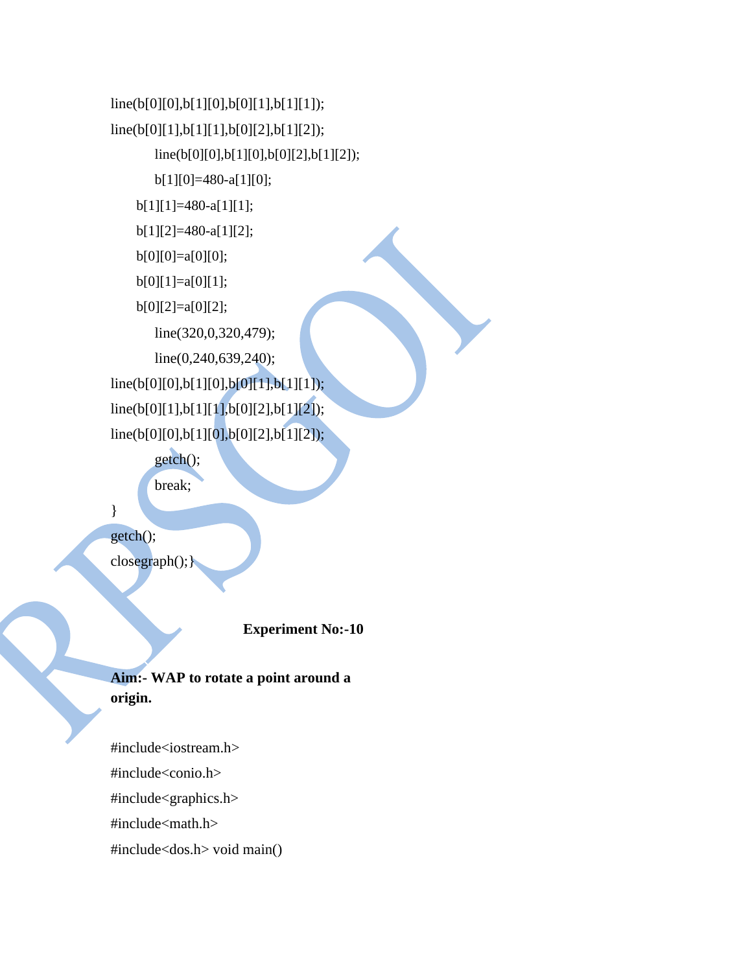```
line(b[0][0],b[1][0],b[0][1],b[1][1]);
line(b[0][1],b[1][1],b[0][2],b[1][2]);
       line(b[0][0],b[1][0],b[0][2],b[1][2]); 
       b[1][0]=480-a[1][0];
    b[1][1]=480-a[1][1]; 
    b[1][2]=480-a[1][2]; 
    b[0][0]=a[0][0]; 
    b[0][1]=a[0][1]; 
    b[0][2]=a[0][2];
       line(320,0,320,479);
       line(0,240,639,240);
line(b[0][0],b[1][0],b[0][1],b[1][1]);
line(b[0][1],b[1][1],b[0][2],b[1][2]);
line(b[0][0],b[1][0],b[0][2],b[1][2]);
       getch();
```
break;

}

getch();

closegraph();}

**Experiment No:-10**

**Aim:- WAP to rotate a point around a origin.**

#include<iostream.h> #include<conio.h> #include<graphics.h> #include<math.h> #include<dos.h> void main()